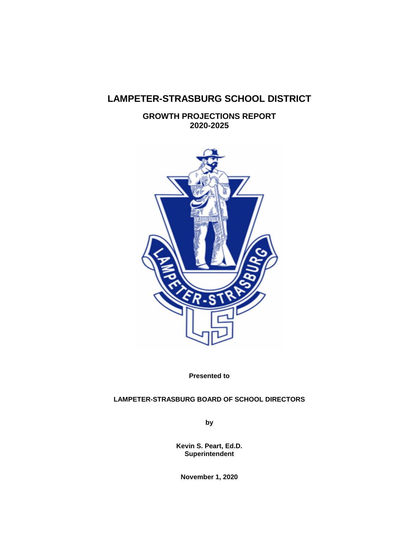# **LAMPETER-STRASBURG SCHOOL DISTRICT**

**GROWTH PROJECTIONS REPORT 2020-2025**



**Presented to**

# **LAMPETER-STRASBURG BOARD OF SCHOOL DIRECTORS**

**by**

**Kevin S. Peart, Ed.D. Superintendent**

**November 1, 2020**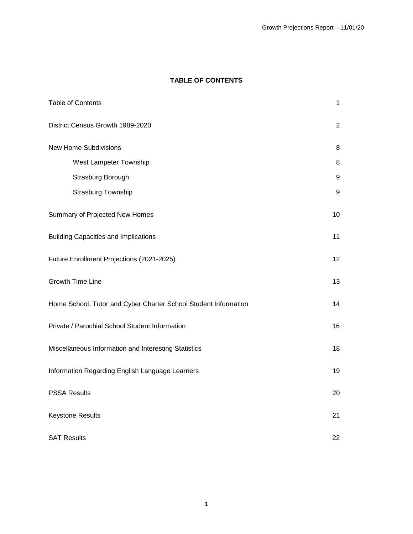# **TABLE OF CONTENTS**

| <b>Table of Contents</b>                                        | 1                |
|-----------------------------------------------------------------|------------------|
| District Census Growth 1989-2020                                | $\overline{2}$   |
| <b>New Home Subdivisions</b>                                    | 8                |
| West Lampeter Township                                          | 8                |
| Strasburg Borough                                               | 9                |
| Strasburg Township                                              | $\boldsymbol{9}$ |
| Summary of Projected New Homes                                  | 10               |
| <b>Building Capacities and Implications</b>                     | 11               |
| Future Enrollment Projections (2021-2025)                       | 12               |
| <b>Growth Time Line</b>                                         | 13               |
| Home School, Tutor and Cyber Charter School Student Information | 14               |
| Private / Parochial School Student Information                  | 16               |
| Miscellaneous Information and Interesting Statistics            | 18               |
| Information Regarding English Language Learners                 | 19               |
| <b>PSSA Results</b>                                             | 20               |
| <b>Keystone Results</b>                                         | 21               |
| <b>SAT Results</b>                                              | 22               |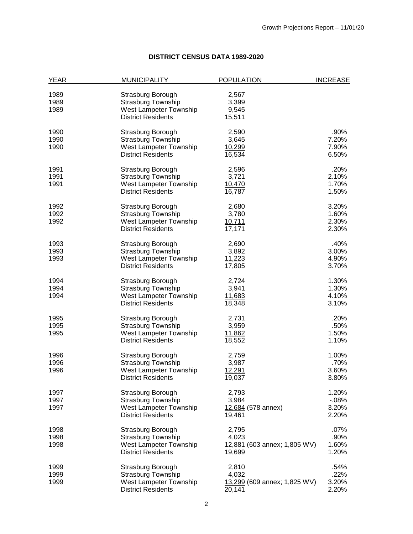# **DISTRICT CENSUS DATA 1989-2020**

| YEAR | <b>MUNICIPALITY</b>           | <b>POPULATION</b>            | <b>INCREASE</b> |
|------|-------------------------------|------------------------------|-----------------|
| 1989 | Strasburg Borough             | 2,567                        |                 |
| 1989 | <b>Strasburg Township</b>     | 3,399                        |                 |
| 1989 | West Lampeter Township        |                              |                 |
|      | <b>District Residents</b>     | 9,545<br>15,511              |                 |
|      |                               |                              |                 |
| 1990 | Strasburg Borough             | 2,590                        | .90%            |
| 1990 | Strasburg Township            | 3,645                        | 7.20%           |
| 1990 | West Lampeter Township        | 10,299                       | 7.90%           |
|      | <b>District Residents</b>     | 16,534                       | 6.50%           |
| 1991 | Strasburg Borough             | 2,596                        | .20%            |
| 1991 | Strasburg Township            | 3,721                        | 2.10%           |
| 1991 | West Lampeter Township        | 10,470                       | 1.70%           |
|      | <b>District Residents</b>     | 16,787                       | 1.50%           |
|      |                               |                              |                 |
| 1992 | Strasburg Borough             | 2,680                        | 3.20%           |
| 1992 | Strasburg Township            | 3,780                        | 1.60%           |
| 1992 | West Lampeter Township        | 10,711                       | 2.30%           |
|      | <b>District Residents</b>     | 17,171                       | 2.30%           |
| 1993 | Strasburg Borough             | 2,690                        | .40%            |
| 1993 | <b>Strasburg Township</b>     | 3,892                        | 3.00%           |
| 1993 | West Lampeter Township        | 11,223                       | 4.90%           |
|      | <b>District Residents</b>     | 17,805                       | 3.70%           |
| 1994 | Strasburg Borough             | 2,724                        | 1.30%           |
| 1994 | <b>Strasburg Township</b>     | 3,941                        | 1.30%           |
| 1994 | West Lampeter Township        | 11,683                       | 4.10%           |
|      | <b>District Residents</b>     | 18,348                       | 3.10%           |
| 1995 | Strasburg Borough             | 2,731                        | .20%            |
| 1995 | Strasburg Township            | 3,959                        | .50%            |
| 1995 | West Lampeter Township        | 11,862                       | 1.50%           |
|      | <b>District Residents</b>     | 18,552                       | 1.10%           |
|      |                               |                              |                 |
| 1996 | Strasburg Borough             | 2,759                        | 1.00%           |
| 1996 | Strasburg Township            | 3,987                        | .70%            |
| 1996 | West Lampeter Township        | 12,291                       | 3.60%           |
|      | <b>District Residents</b>     | 19,037                       | 3.80%           |
| 1997 | Strasburg Borough             | 2,793                        | 1.20%           |
| 1997 | <b>Strasburg Township</b>     | 3,984                        | $-0.08%$        |
| 1997 | <b>West Lampeter Township</b> | 12,684 (578 annex)           | 3.20%           |
|      | <b>District Residents</b>     | 19,461                       | 2.20%           |
| 1998 | Strasburg Borough             | 2,795                        | $.07\%$         |
| 1998 | <b>Strasburg Township</b>     | 4,023                        | .90%            |
| 1998 | <b>West Lampeter Township</b> | 12,881 (603 annex; 1,805 WV) | 1.60%           |
|      | <b>District Residents</b>     | 19,699                       | 1.20%           |
|      |                               |                              |                 |
| 1999 | Strasburg Borough             | 2,810                        | .54%            |
| 1999 | <b>Strasburg Township</b>     | 4,032                        | .22%            |
| 1999 | West Lampeter Township        | 13,299 (609 annex; 1,825 WV) | 3.20%           |
|      | <b>District Residents</b>     | 20,141                       | 2.20%           |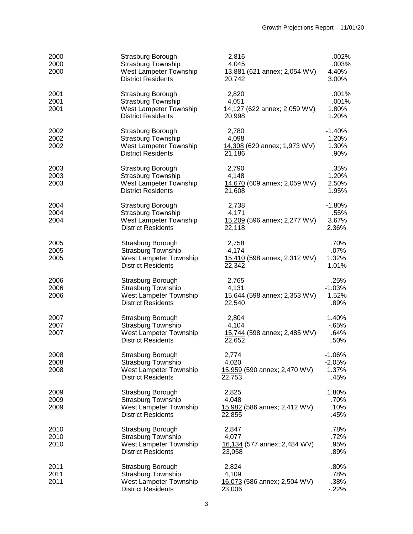| 2000<br>2000<br>2000 | Strasburg Borough<br><b>Strasburg Township</b><br>West Lampeter Township<br><b>District Residents</b> | 2,816<br>4,045<br>13,881 (621 annex; 2,054 WV)<br>20,742 | .002%<br>.003%<br>4.40%<br>3.00%       |
|----------------------|-------------------------------------------------------------------------------------------------------|----------------------------------------------------------|----------------------------------------|
| 2001<br>2001<br>2001 | Strasburg Borough<br><b>Strasburg Township</b><br>West Lampeter Township<br><b>District Residents</b> | 2,820<br>4,051<br>14,127 (622 annex; 2,059 WV)<br>20,998 | .001%<br>.001%<br>1.80%<br>1.20%       |
| 2002<br>2002<br>2002 | Strasburg Borough<br><b>Strasburg Township</b><br>West Lampeter Township<br><b>District Residents</b> | 2,780<br>4,098<br>14,308 (620 annex; 1,973 WV)<br>21,186 | $-1.40%$<br>1.20%<br>1.30%<br>.90%     |
| 2003<br>2003<br>2003 | Strasburg Borough<br><b>Strasburg Township</b><br>West Lampeter Township<br><b>District Residents</b> | 2,790<br>4,148<br>14,670 (609 annex; 2,059 WV)<br>21,608 | .35%<br>1.20%<br>2.50%<br>1.95%        |
| 2004<br>2004<br>2004 | Strasburg Borough<br><b>Strasburg Township</b><br>West Lampeter Township<br><b>District Residents</b> | 2,738<br>4,171<br>15,209 (596 annex; 2,277 WV)<br>22,118 | $-1.80%$<br>.55%<br>3.67%<br>2.36%     |
| 2005<br>2005<br>2005 | Strasburg Borough<br><b>Strasburg Township</b><br>West Lampeter Township<br><b>District Residents</b> | 2,758<br>4,174<br>15,410 (598 annex; 2,312 WV)<br>22,342 | .70%<br>.07%<br>1.32%<br>1.01%         |
| 2006<br>2006<br>2006 | Strasburg Borough<br><b>Strasburg Township</b><br>West Lampeter Township<br><b>District Residents</b> | 2,765<br>4,131<br>15,644 (598 annex; 2,353 WV)<br>22,540 | .25%<br>$-1.03%$<br>1.52%<br>.89%      |
| 2007<br>2007<br>2007 | Strasburg Borough<br><b>Strasburg Township</b><br>West Lampeter Township<br><b>District Residents</b> | 2,804<br>4,104<br>15,744 (598 annex; 2,485 WV)<br>22,652 | 1.40%<br>$-0.65%$<br>.64%<br>.50%      |
| 2008<br>2008<br>2008 | Strasburg Borough<br><b>Strasburg Township</b><br>West Lampeter Township<br><b>District Residents</b> | 2,774<br>4,020<br>15,959 (590 annex; 2,470 WV)<br>22,753 | $-1.06%$<br>$-2.05%$<br>1.37%<br>.45%  |
| 2009<br>2009<br>2009 | Strasburg Borough<br><b>Strasburg Township</b><br>West Lampeter Township<br><b>District Residents</b> | 2,825<br>4,048<br>15,982 (586 annex; 2,412 WV)<br>22,855 | 1.80%<br>.70%<br>.10%<br>.45%          |
| 2010<br>2010<br>2010 | Strasburg Borough<br><b>Strasburg Township</b><br>West Lampeter Township<br><b>District Residents</b> | 2,847<br>4,077<br>16,134 (577 annex; 2,484 WV)<br>23,058 | .78%<br>.72%<br>.95%<br>.89%           |
| 2011<br>2011<br>2011 | Strasburg Borough<br>Strasburg Township<br>West Lampeter Township<br><b>District Residents</b>        | 2,824<br>4,109<br>16,073 (586 annex; 2,504 WV)<br>23,006 | $-0.80%$<br>.78%<br>$-0.38%$<br>$-22%$ |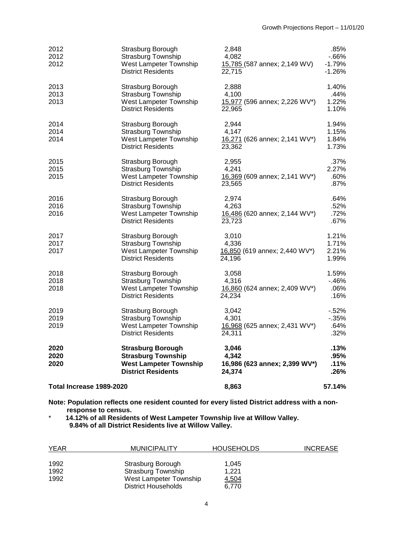| 2012<br>2012<br>2012     | Strasburg Borough<br><b>Strasburg Township</b><br>West Lampeter Township<br><b>District Residents</b>               | 2,848<br>4,082<br>15,785 (587 annex; 2,149 WV)<br>22.715  | .85%<br>$-66%$<br>$-1.79%$<br>$-1.26%$ |
|--------------------------|---------------------------------------------------------------------------------------------------------------------|-----------------------------------------------------------|----------------------------------------|
| 2013<br>2013<br>2013     | Strasburg Borough<br><b>Strasburg Township</b><br>West Lampeter Township<br><b>District Residents</b>               | 2,888<br>4,100<br>15,977 (596 annex; 2,226 WV*)<br>22,965 | 1.40%<br>.44%<br>1.22%<br>1.10%        |
| 2014<br>2014<br>2014     | Strasburg Borough<br><b>Strasburg Township</b><br>West Lampeter Township<br><b>District Residents</b>               | 2,944<br>4,147<br>16,271 (626 annex; 2,141 WV*)<br>23,362 | 1.94%<br>1.15%<br>1.84%<br>1.73%       |
| 2015<br>2015<br>2015     | Strasburg Borough<br><b>Strasburg Township</b><br>West Lampeter Township<br><b>District Residents</b>               | 2,955<br>4,241<br>16,369 (609 annex; 2,141 WV*)<br>23,565 | .37%<br>2.27%<br>$.60\%$<br>$.87\%$    |
| 2016<br>2016<br>2016     | Strasburg Borough<br><b>Strasburg Township</b><br>West Lampeter Township<br><b>District Residents</b>               | 2,974<br>4,263<br>16,486 (620 annex; 2,144 WV*)<br>23,723 | .64%<br>.52%<br>.72%<br>.67%           |
| 2017<br>2017<br>2017     | Strasburg Borough<br><b>Strasburg Township</b><br>West Lampeter Township<br><b>District Residents</b>               | 3,010<br>4,336<br>16,850 (619 annex; 2,440 WV*)<br>24,196 | 1.21%<br>1.71%<br>2.21%<br>1.99%       |
| 2018<br>2018<br>2018     | Strasburg Borough<br><b>Strasburg Township</b><br>West Lampeter Township<br><b>District Residents</b>               | 3,058<br>4,316<br>16,860 (624 annex; 2,409 WV*)<br>24,234 | 1.59%<br>$-46%$<br>.06%<br>.16%        |
| 2019<br>2019<br>2019     | Strasburg Borough<br><b>Strasburg Township</b><br>West Lampeter Township<br><b>District Residents</b>               | 3,042<br>4,301<br>16,968 (625 annex; 2,431 WV*)<br>24,311 | $-52%$<br>$-0.35%$<br>.64%<br>.32%     |
| 2020<br>2020<br>2020     | <b>Strasburg Borough</b><br><b>Strasburg Township</b><br><b>West Lampeter Township</b><br><b>District Residents</b> | 3,046<br>4.342<br>16,986 (623 annex; 2,399 WV*)<br>24,374 | .13%<br>.95%<br>.11%<br>.26%           |
| Total Increase 1989-2020 |                                                                                                                     | 8,863                                                     | 57.14%                                 |

**Note: Population reflects one resident counted for every listed District address with a nonresponse to census.** 

\* **14.12% of all Residents of West Lampeter Township live at Willow Valley. 9.84% of all District Residents live at Willow Valley.**

| <b>YEAR</b> | <b>MUNICIPALITY</b>        | <b>HOUSEHOLDS</b> | <b>INCREASE</b> |
|-------------|----------------------------|-------------------|-----------------|
|             |                            |                   |                 |
| 1992        | Strasburg Borough          | 1.045             |                 |
| 1992        | Strasburg Township         | 1.221             |                 |
| 1992        | West Lampeter Township     | 4,504             |                 |
|             | <b>District Households</b> | 6.770             |                 |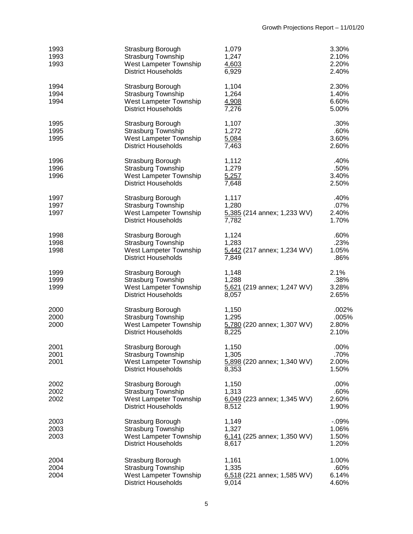| 1993<br>1993<br>1993 | Strasburg Borough<br>Strasburg Township<br>West Lampeter Township<br><b>District Households</b>        | 1,079<br>1,247<br>4,603<br>6,929                         | 3.30%<br>2.10%<br>2.20%<br>2.40%    |
|----------------------|--------------------------------------------------------------------------------------------------------|----------------------------------------------------------|-------------------------------------|
| 1994<br>1994<br>1994 | Strasburg Borough<br>Strasburg Township<br>West Lampeter Township<br><b>District Households</b>        | 1,104<br>1,264<br>4,908<br>7,276                         | 2.30%<br>1.40%<br>6.60%<br>5.00%    |
| 1995<br>1995<br>1995 | Strasburg Borough<br><b>Strasburg Township</b><br>West Lampeter Township<br><b>District Households</b> | 1,107<br>1,272<br>5,084<br>7,463                         | .30%<br>.60%<br>3.60%<br>2.60%      |
| 1996<br>1996<br>1996 | Strasburg Borough<br><b>Strasburg Township</b><br>West Lampeter Township<br><b>District Households</b> | 1,112<br>1,279<br>5,257<br>7,648                         | .40%<br>.50%<br>3.40%<br>2.50%      |
| 1997<br>1997<br>1997 | Strasburg Borough<br><b>Strasburg Township</b><br>West Lampeter Township<br><b>District Households</b> | 1,117<br>1,280<br>5,385 (214 annex; 1,233 WV)<br>7,782   | .40%<br>.07%<br>2.40%<br>1.70%      |
| 1998<br>1998<br>1998 | Strasburg Borough<br>Strasburg Township<br>West Lampeter Township<br><b>District Households</b>        | 1,124<br>1,283<br>5,442 (217 annex; 1,234 WV)<br>7,849   | .60%<br>.23%<br>1.05%<br>.86%       |
| 1999<br>1999<br>1999 | Strasburg Borough<br>Strasburg Township<br>West Lampeter Township<br><b>District Households</b>        | 1,148<br>1,288<br>5,621 (219 annex; 1,247 WV)<br>8,057   | 2.1%<br>.38%<br>3.28%<br>2.65%      |
| 2000<br>2000<br>2000 | Strasburg Borough<br><b>Strasburg Township</b><br>West Lampeter Township<br><b>District Households</b> | 1,150<br>1,295<br>5,780 (220 annex; 1,307 WV)<br>8,225   | .002%<br>.005%<br>2.80%<br>2.10%    |
| 2001<br>2001<br>2001 | Strasburg Borough<br><b>Strasburg Township</b><br>West Lampeter Township<br><b>District Households</b> | 1,150<br>1,305<br>5,898 (220 annex; 1,340 WV)<br>8,353   | .00%<br>.70%<br>2.00%<br>1.50%      |
| 2002<br>2002<br>2002 | Strasburg Borough<br><b>Strasburg Township</b><br>West Lampeter Township<br><b>District Households</b> | 1,150<br>1,313<br>6,049 (223 annex; 1,345 WV)<br>8,512   | .00%<br>.60%<br>2.60%<br>1.90%      |
| 2003<br>2003<br>2003 | Strasburg Borough<br><b>Strasburg Township</b><br>West Lampeter Township<br><b>District Households</b> | 1,149<br>1,327<br>6,141 (225 annex; 1,350 WV)<br>8,617   | $-0.09%$<br>1.06%<br>1.50%<br>1.20% |
| 2004<br>2004<br>2004 | Strasburg Borough<br><b>Strasburg Township</b><br>West Lampeter Township<br><b>District Households</b> | 1,161<br>1,335<br>$6,518$ (221 annex; 1,585 WV)<br>9,014 | 1.00%<br>.60%<br>6.14%<br>4.60%     |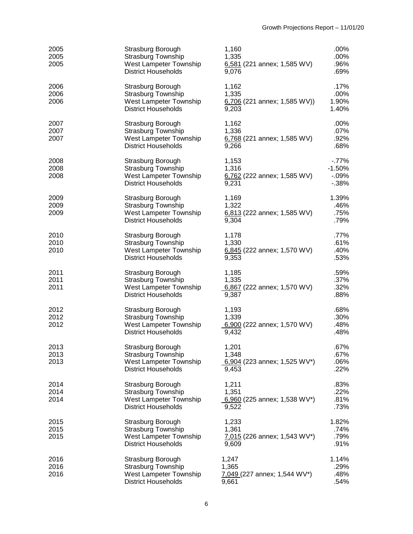| 2005<br>2005<br>2005 | Strasburg Borough<br><b>Strasburg Township</b><br>West Lampeter Township<br><b>District Households</b> | 1,160<br>1,335<br>$6,581$ (221 annex; 1,585 WV)<br>9,076  | .00%<br>.00%<br>.96%<br>.69%               |
|----------------------|--------------------------------------------------------------------------------------------------------|-----------------------------------------------------------|--------------------------------------------|
| 2006<br>2006<br>2006 | Strasburg Borough<br><b>Strasburg Township</b><br>West Lampeter Township<br><b>District Households</b> | 1,162<br>1,335<br>$6,706$ (221 annex; 1,585 WV))<br>9,203 | .17%<br>.00%<br>1.90%<br>1.40%             |
| 2007<br>2007<br>2007 | Strasburg Borough<br><b>Strasburg Township</b><br>West Lampeter Township<br><b>District Households</b> | 1,162<br>1,336<br>$6,768$ (221 annex; 1,585 WV)<br>9,266  | .00%<br>.07%<br>.92%<br>.68%               |
| 2008<br>2008<br>2008 | Strasburg Borough<br><b>Strasburg Township</b><br>West Lampeter Township<br><b>District Households</b> | 1,153<br>1,316<br>6,762 (222 annex; 1,585 WV)<br>9,231    | $-77%$<br>$-1.50%$<br>$-0.09%$<br>$-0.38%$ |
| 2009<br>2009<br>2009 | Strasburg Borough<br><b>Strasburg Township</b><br>West Lampeter Township<br><b>District Households</b> | 1,169<br>1,322<br>$6,813$ (222 annex; 1,585 WV)<br>9,304  | 1.39%<br>.46%<br>.75%<br>.79%              |
| 2010<br>2010<br>2010 | Strasburg Borough<br><b>Strasburg Township</b><br>West Lampeter Township<br><b>District Households</b> | 1,178<br>1,330<br>$6,845$ (222 annex; 1,570 WV)<br>9,353  | .77%<br>.61%<br>.40%<br>.53%               |
| 2011<br>2011<br>2011 | Strasburg Borough<br>Strasburg Township<br>West Lampeter Township<br><b>District Households</b>        | 1,185<br>1,335<br>6,867 (222 annex; 1,570 WV)<br>9,387    | .59%<br>.37%<br>.32%<br>.88%               |
| 2012<br>2012<br>2012 | Strasburg Borough<br><b>Strasburg Township</b><br>West Lampeter Township<br><b>District Households</b> | 1,193<br>1,339<br>6,900 (222 annex; 1,570 WV)<br>9,432    | .68%<br>.30%<br>.48%<br>.48%               |
| 2013<br>2013<br>2013 | Strasburg Borough<br><b>Strasburg Township</b><br>West Lampeter Township<br><b>District Households</b> | 1,201<br>1,348<br>6,904 (223 annex; 1,525 WV*)<br>9,453   | .67%<br>.67%<br>.06%<br>.22%               |
| 2014<br>2014<br>2014 | Strasburg Borough<br><b>Strasburg Township</b><br>West Lampeter Township<br><b>District Households</b> | 1,211<br>1,351<br>6,960 (225 annex; 1,538 WV*)<br>9,522   | .83%<br>.22%<br>.81%<br>.73%               |
| 2015<br>2015<br>2015 | Strasburg Borough<br><b>Strasburg Township</b><br>West Lampeter Township<br><b>District Households</b> | 1,233<br>1,361<br>7,015 (226 annex; 1,543 WV*)<br>9,609   | 1.82%<br>.74%<br>.79%<br>.91%              |
| 2016<br>2016<br>2016 | Strasburg Borough<br><b>Strasburg Township</b><br>West Lampeter Township<br><b>District Households</b> | 1,247<br>1,365<br>7,049 (227 annex; 1,544 WV*)<br>9,661   | 1.14%<br>.29%<br>.48%<br>.54%              |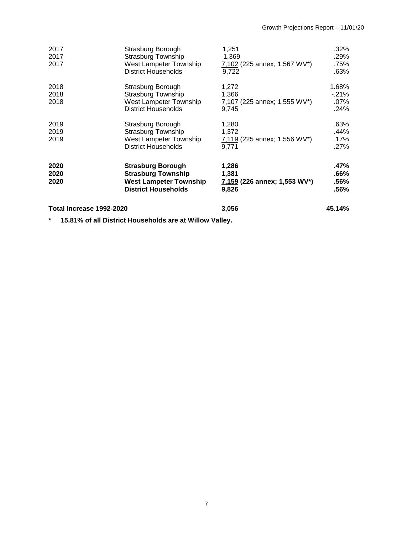| 2017<br>2017<br>2017     | Strasburg Borough<br><b>Strasburg Township</b><br>West Lampeter Township<br><b>District Households</b>               | 1,251<br>1,369<br>7,102 (225 annex; 1,567 WV*)<br>9,722 | $.32\%$<br>.29%<br>.75%<br>.63%    |
|--------------------------|----------------------------------------------------------------------------------------------------------------------|---------------------------------------------------------|------------------------------------|
| 2018<br>2018<br>2018     | Strasburg Borough<br><b>Strasburg Township</b><br>West Lampeter Township<br><b>District Households</b>               | 1,272<br>1,366<br>7,107 (225 annex; 1,555 WV*)<br>9.745 | 1.68%<br>$-21%$<br>$.07\%$<br>.24% |
| 2019<br>2019<br>2019     | Strasburg Borough<br>Strasburg Township<br>West Lampeter Township<br><b>District Households</b>                      | 1,280<br>1,372<br>7,119 (225 annex; 1,556 WV*)<br>9.771 | .63%<br>.44%<br>.17%<br>.27%       |
| 2020<br>2020<br>2020     | <b>Strasburg Borough</b><br><b>Strasburg Township</b><br><b>West Lampeter Township</b><br><b>District Households</b> | 1,286<br>1,381<br>7,159 (226 annex; 1,553 WV*)<br>9,826 | .47%<br>$.66\%$<br>.56%<br>.56%    |
| Total Increase 1992-2020 |                                                                                                                      | 3,056                                                   | 45.14%                             |

**\* 15.81% of all District Households are at Willow Valley.**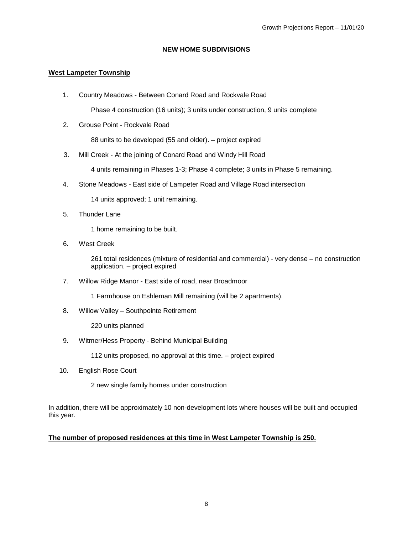#### **NEW HOME SUBDIVISIONS**

# **West Lampeter Township**

1. Country Meadows - Between Conard Road and Rockvale Road

Phase 4 construction (16 units); 3 units under construction, 9 units complete

2. Grouse Point - Rockvale Road

88 units to be developed (55 and older). – project expired

3. Mill Creek - At the joining of Conard Road and Windy Hill Road

4 units remaining in Phases 1-3; Phase 4 complete; 3 units in Phase 5 remaining.

4. Stone Meadows - East side of Lampeter Road and Village Road intersection

14 units approved; 1 unit remaining.

5. Thunder Lane

1 home remaining to be built.

6. West Creek

261 total residences (mixture of residential and commercial) - very dense – no construction application. – project expired

7. Willow Ridge Manor - East side of road, near Broadmoor

1 Farmhouse on Eshleman Mill remaining (will be 2 apartments).

8. Willow Valley – Southpointe Retirement

220 units planned

9. Witmer/Hess Property - Behind Municipal Building

112 units proposed, no approval at this time. – project expired

10. English Rose Court

2 new single family homes under construction

In addition, there will be approximately 10 non-development lots where houses will be built and occupied this year.

# **The number of proposed residences at this time in West Lampeter Township is 250.**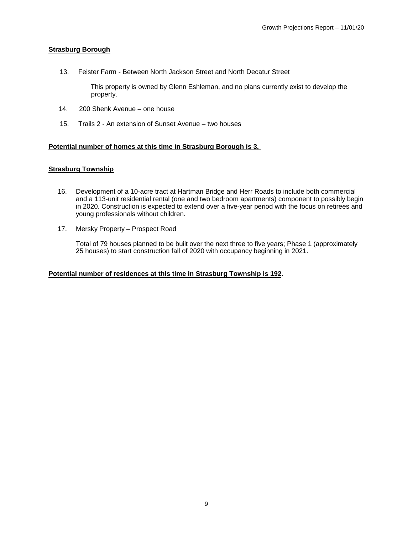# **Strasburg Borough**

13. Feister Farm - Between North Jackson Street and North Decatur Street

 This property is owned by Glenn Eshleman, and no plans currently exist to develop the property.

- 14. 200 Shenk Avenue one house
- 15. Trails 2 An extension of Sunset Avenue two houses

# **Potential number of homes at this time in Strasburg Borough is 3.**

# **Strasburg Township**

- 16. Development of a 10-acre tract at Hartman Bridge and Herr Roads to include both commercial and a 113-unit residential rental (one and two bedroom apartments) component to possibly begin in 2020. Construction is expected to extend over a five-year period with the focus on retirees and young professionals without children.
- 17. Mersky Property Prospect Road

Total of 79 houses planned to be built over the next three to five years; Phase 1 (approximately 25 houses) to start construction fall of 2020 with occupancy beginning in 2021.

#### **Potential number of residences at this time in Strasburg Township is 192.**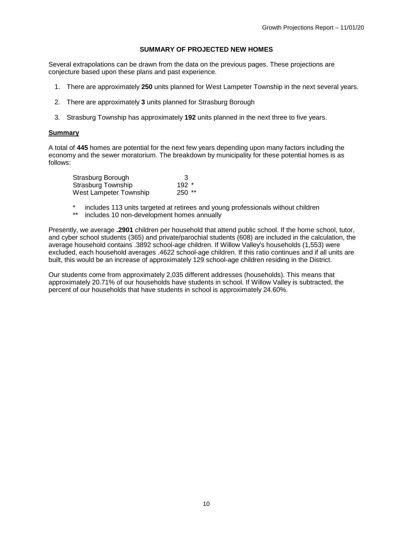#### **SUMMARY OF PROJECTED NEW HOMES**

Several extrapolations can be drawn from the data on the previous pages. These projections are conjecture based upon these plans and past experience.

- 1. There are approximately **250** units planned for West Lampeter Township in the next several years.
- 2. There are approximately **3** units planned for Strasburg Borough
- 3. Strasburg Township has approximately **192** units planned in the next three to five years.

#### **Summary**

A total of **445** homes are potential for the next few years depending upon many factors including the economy and the sewer moratorium. The breakdown by municipality for these potential homes is as follows:

| Strasburg Borough      | 3        |
|------------------------|----------|
| Strasburg Township     | $192$ *  |
| West Lampeter Township | $250$ ** |

- \* includes 113 units targeted at retirees and young professionals without children<br>\*\* includes 10 non-development homes annually
- includes 10 non-development homes annually

Presently, we average **.2901** children per household that attend public school. If the home school, tutor, and cyber school students (365) and private/parochial students (608) are included in the calculation, the average household contains .3892 school-age children. If Willow Valley's households (1,553) were excluded, each household averages .4622 school-age children. If this ratio continues and if all units are built, this would be an increase of approximately 129 school-age children residing in the District.

Our students come from approximately 2,035 different addresses (households). This means that approximately 20.71% of our households have students in school. If Willow Valley is subtracted, the percent of our households that have students in school is approximately 24.60%.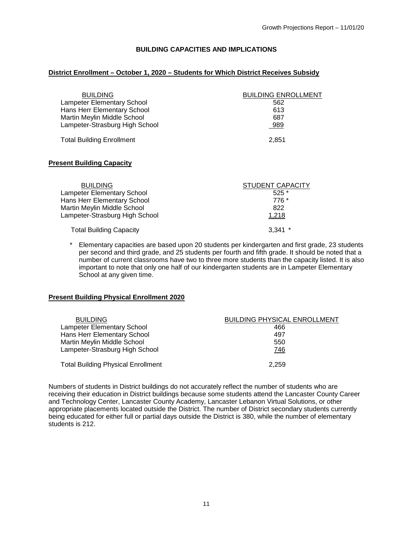### **BUILDING CAPACITIES AND IMPLICATIONS**

#### **District Enrollment – October 1, 2020 – Students for Which District Receives Subsidy**

| <b>BUILDING</b>                   | <b>BUILDING ENROLLMENT</b> |
|-----------------------------------|----------------------------|
| <b>Lampeter Elementary School</b> | 562                        |
| Hans Herr Elementary School       | 613                        |
| Martin Meylin Middle School       | 687                        |
| Lampeter-Strasburg High School    | 989                        |
| <b>Total Building Enrollment</b>  | 2.851                      |

#### **Present Building Capacity**

| <b>BUILDING</b>                | <b>STUDENT CAPACITY</b> |
|--------------------------------|-------------------------|
| Lampeter Elementary School     | $525*$                  |
| Hans Herr Elementary School    | 776 *                   |
| Martin Meylin Middle School    | 822                     |
| Lampeter-Strasburg High School | 1,218                   |
| <b>Total Building Capacity</b> | $3.341$ *               |

Elementary capacities are based upon 20 students per kindergarten and first grade, 23 students per second and third grade, and 25 students per fourth and fifth grade. It should be noted that a number of current classrooms have two to three more students than the capacity listed. It is also important to note that only one half of our kindergarten students are in Lampeter Elementary School at any given time.

#### **Present Building Physical Enrollment 2020**

| <b>BUILDING</b>                           | <b>BUILDING PHYSICAL ENROLLMENT</b> |
|-------------------------------------------|-------------------------------------|
| <b>Lampeter Elementary School</b>         | 466                                 |
| Hans Herr Elementary School               | 497                                 |
| Martin Meylin Middle School               | 550                                 |
| Lampeter-Strasburg High School            | 746                                 |
| <b>Total Building Physical Enrollment</b> | 2.259                               |

Numbers of students in District buildings do not accurately reflect the number of students who are receiving their education in District buildings because some students attend the Lancaster County Career and Technology Center, Lancaster County Academy, Lancaster Lebanon Virtual Solutions, or other appropriate placements located outside the District. The number of District secondary students currently being educated for either full or partial days outside the District is 380, while the number of elementary students is 212.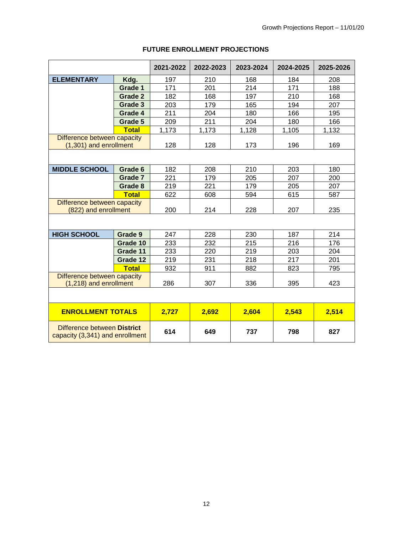|                                                                |                | 2021-2022 | 2022-2023 | 2023-2024 | 2024-2025 | 2025-2026 |
|----------------------------------------------------------------|----------------|-----------|-----------|-----------|-----------|-----------|
| <b>ELEMENTARY</b>                                              | Kdg.           | 197       | 210       | 168       | 184       | 208       |
|                                                                | Grade 1        | 171       | 201       | 214       | 171       | 188       |
|                                                                | <b>Grade 2</b> | 182       | 168       | 197       | 210       | 168       |
|                                                                | Grade 3        | 203       | 179       | 165       | 194       | 207       |
|                                                                | Grade 4        | 211       | 204       | 180       | 166       | 195       |
|                                                                | Grade 5        | 209       | 211       | 204       | 180       | 166       |
|                                                                | <b>Total</b>   | 1,173     | 1,173     | 1,128     | 1,105     | 1,132     |
| Difference between capacity<br>(1,301) and enrollment          |                | 128       | 128       | 173       | 196       | 169       |
|                                                                |                |           |           |           |           |           |
| <b>MIDDLE SCHOOL</b>                                           | Grade 6        | 182       | 208       | 210       | 203       | 180       |
|                                                                | Grade 7        | 221       | 179       | 205       | 207       | 200       |
|                                                                | Grade 8        | 219       | 221       | 179       | 205       | 207       |
|                                                                | <b>Total</b>   | 622       | 608       | 594       | 615       | 587       |
| Difference between capacity<br>(822) and enrollment            |                | 200       | 214       | 228       | 207       | 235       |
|                                                                |                |           |           |           |           |           |
| <b>HIGH SCHOOL</b>                                             | Grade 9        | 247       | 228       | 230       | 187       | 214       |
|                                                                | Grade 10       | 233       | 232       | 215       | 216       | 176       |
|                                                                | Grade 11       | 233       | 220       | 219       | 203       | 204       |
|                                                                | Grade 12       | 219       | 231       | 218       | 217       | 201       |
|                                                                | <b>Total</b>   | 932       | 911       | 882       | 823       | 795       |
| Difference between capacity<br>(1,218) and enrollment          |                | 286       | 307       | 336       | 395       | 423       |
|                                                                |                |           |           |           |           |           |
| <b>ENROLLMENT TOTALS</b>                                       |                | 2,727     | 2,692     | 2,604     | 2,543     | 2,514     |
| Difference between District<br>capacity (3,341) and enrollment |                | 614       | 649       | 737       | 798       | 827       |

# **FUTURE ENROLLMENT PROJECTIONS**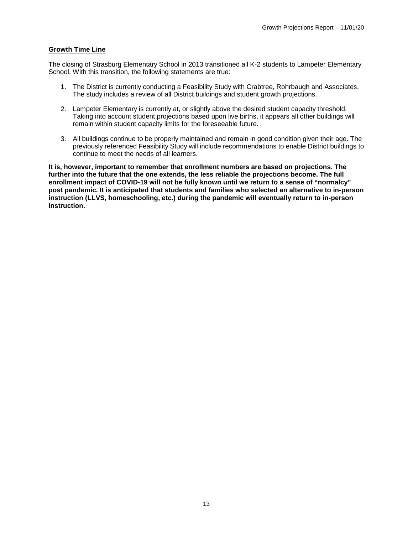### **Growth Time Line**

The closing of Strasburg Elementary School in 2013 transitioned all K-2 students to Lampeter Elementary School. With this transition, the following statements are true:

- 1. The District is currently conducting a Feasibility Study with Crabtree, Rohrbaugh and Associates. The study includes a review of all District buildings and student growth projections.
- 2. Lampeter Elementary is currently at, or slightly above the desired student capacity threshold. Taking into account student projections based upon live births, it appears all other buildings will remain within student capacity limits for the foreseeable future.
- 3. All buildings continue to be properly maintained and remain in good condition given their age. The previously referenced Feasibility Study will include recommendations to enable District buildings to continue to meet the needs of all learners.

**It is, however, important to remember that enrollment numbers are based on projections. The further into the future that the one extends, the less reliable the projections become. The full enrollment impact of COVID-19 will not be fully known until we return to a sense of "normalcy" post pandemic. It is anticipated that students and families who selected an alternative to in-person instruction (LLVS, homeschooling, etc.) during the pandemic will eventually return to in-person instruction.**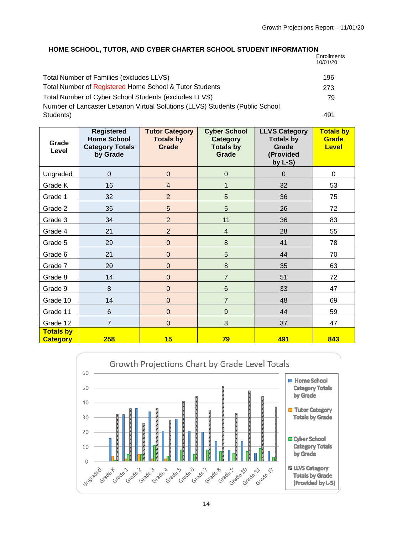# **HOME SCHOOL, TUTOR, AND CYBER CHARTER SCHOOL STUDENT INFORMATION**

**Enrollments** 10/01/20

| Total Number of Families (excludes LLVS)                                     | 196 |
|------------------------------------------------------------------------------|-----|
| Total Number of Registered Home School & Tutor Students                      | 273 |
| Total Number of Cyber School Students (excludes LLVS)                        | 79  |
| Number of Lancaster Lebanon Virtual Solutions (LLVS) Students (Public School |     |
| Students)                                                                    | 491 |
|                                                                              |     |

| Grade<br>Level                      | <b>Registered</b><br><b>Home School</b><br><b>Category Totals</b><br>by Grade | <b>Tutor Category</b><br><b>Totals by</b><br>Grade | <b>Cyber School</b><br><b>Category</b><br><b>Totals by</b><br>Grade | <b>LLVS Category</b><br><b>Totals by</b><br>Grade<br>(Provided<br>by $L-S$ ) | <b>Totals by</b><br>Grade<br><b>Level</b> |
|-------------------------------------|-------------------------------------------------------------------------------|----------------------------------------------------|---------------------------------------------------------------------|------------------------------------------------------------------------------|-------------------------------------------|
| Ungraded                            | $\pmb{0}$                                                                     | $\mathbf 0$                                        | $\mathbf 0$                                                         | $\mathbf 0$                                                                  | 0                                         |
| Grade K                             | 16                                                                            | $\overline{\mathbf{4}}$                            | 1                                                                   | 32                                                                           | 53                                        |
| Grade 1                             | 32                                                                            | $\overline{2}$                                     | 5                                                                   | 36                                                                           | 75                                        |
| Grade 2                             | 36                                                                            | 5                                                  | 5                                                                   | 26                                                                           | 72                                        |
| Grade 3                             | 34                                                                            | $\overline{2}$                                     | 11                                                                  | 36                                                                           | 83                                        |
| Grade 4                             | 21                                                                            | $\overline{2}$                                     | $\overline{\mathbf{4}}$                                             | 28                                                                           | 55                                        |
| Grade 5                             | 29                                                                            | $\mathbf 0$                                        | $\bf 8$                                                             | 41                                                                           | 78                                        |
| Grade 6                             | 21                                                                            | $\mathbf 0$                                        | 5                                                                   | 44                                                                           | 70                                        |
| Grade 7                             | 20                                                                            | $\mathbf 0$                                        | $\bf 8$                                                             | 35                                                                           | 63                                        |
| Grade 8                             | 14                                                                            | $\mathbf 0$                                        | $\overline{7}$                                                      | 51                                                                           | 72                                        |
| Grade 9                             | $\,8\,$                                                                       | $\mathbf 0$                                        | $\,$ 6 $\,$                                                         | 33                                                                           | 47                                        |
| Grade 10                            | 14                                                                            | $\mathbf 0$                                        | $\overline{7}$                                                      | 48                                                                           | 69                                        |
| Grade 11                            | $\,6$                                                                         | $\mathbf 0$                                        | $\boldsymbol{9}$                                                    | 44                                                                           | 59                                        |
| Grade 12                            | $\overline{7}$                                                                | $\mathbf 0$                                        | 3                                                                   | 37                                                                           | 47                                        |
| <b>Totals by</b><br><b>Category</b> | 258                                                                           | 15                                                 | 79                                                                  | 491                                                                          | 843                                       |

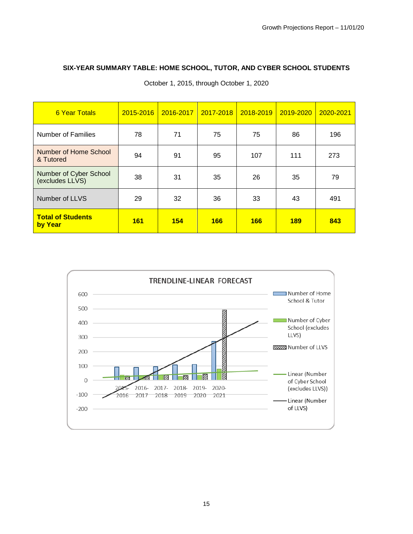# **SIX-YEAR SUMMARY TABLE: HOME SCHOOL, TUTOR, AND CYBER SCHOOL STUDENTS**

| <b>6 Year Totals</b>                      | 2015-2016  | 2016-2017 | 2017-2018 | 2018-2019 | 2019-2020  | 2020-2021 |
|-------------------------------------------|------------|-----------|-----------|-----------|------------|-----------|
| Number of Families                        | 78         | 71        | 75        | 75        | 86         | 196       |
| Number of Home School<br>& Tutored        | 94         | 91        | 95        | 107       | 111        | 273       |
| Number of Cyber School<br>(excludes LLVS) | 38         | 31        | 35        | 26        | 35         | 79        |
| Number of LLVS                            | 29         | 32        | 36        | 33        | 43         | 491       |
| <b>Total of Students</b><br>by Year       | <b>161</b> | 154       | 166       | 166       | <b>189</b> | 843       |

October 1, 2015, through October 1, 2020

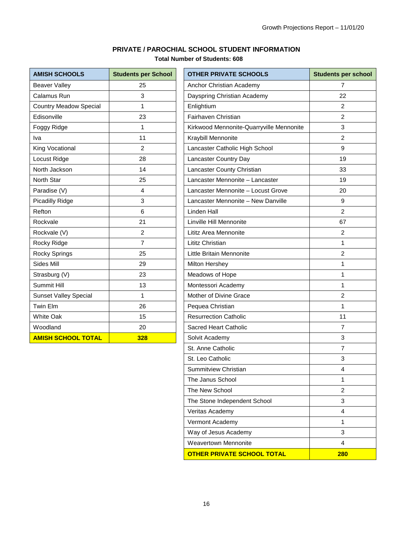# **PRIVATE / PAROCHIAL SCHOOL STUDENT INFORMATION**

# **Total Number of Students: 608**

| <b>AMISH SCHOOLS</b>          | <b>Students per School</b> |
|-------------------------------|----------------------------|
| <b>Beaver Valley</b>          | 25                         |
| Calamus Run                   | 3                          |
| <b>Country Meadow Special</b> | 1                          |
| Edisonville                   | 23                         |
| Foggy Ridge                   | 1                          |
| Iva                           | 11                         |
| King Vocational               | 2                          |
| Locust Ridge                  | 28                         |
| North Jackson                 | 14                         |
| North Star                    | 25                         |
| Paradise (V)                  | 4                          |
| Picadilly Ridge               | 3                          |
| Refton                        | 6                          |
| Rockvale                      | 21                         |
| Rockvale (V)                  | $\overline{2}$             |
| Rocky Ridge                   | $\overline{7}$             |
| Rocky Springs                 | 25                         |
| Sides Mill                    | 29                         |
| Strasburg (V)                 | 23                         |
| Summit Hill                   | 13                         |
| <b>Sunset Valley Special</b>  | 1                          |
| <b>Twin Elm</b>               | 26                         |
| <b>White Oak</b>              | 15                         |
| Woodland                      | 20                         |
| <b>AMISH SCHOOL TOTAL</b>     | 328                        |

| <b>AMISH SCHOOLS</b>          | <b>Students per School</b> | <b>OTHER PRIVATE SCHOOLS</b>             | <b>Students per school</b> |
|-------------------------------|----------------------------|------------------------------------------|----------------------------|
| <b>Beaver Valley</b>          | 25                         | Anchor Christian Academy                 | 7                          |
| Calamus Run                   | 3                          | Dayspring Christian Academy              | 22                         |
| <b>Country Meadow Special</b> | 1                          | Enlightium                               | $\overline{c}$             |
| Edisonville                   | 23                         | Fairhaven Christian                      | $\overline{c}$             |
| Foggy Ridge                   | 1                          | Kirkwood Mennonite-Quarryville Mennonite | 3                          |
| Iva                           | 11                         | Kraybill Mennonite                       | $\overline{c}$             |
| King Vocational               | $\overline{c}$             | Lancaster Catholic High School           | 9                          |
| Locust Ridge                  | 28                         | Lancaster Country Day                    | 19                         |
| North Jackson                 | 14                         | Lancaster County Christian               | 33                         |
| North Star                    | 25                         | Lancaster Mennonite - Lancaster          | 19                         |
| Paradise (V)                  | $\overline{4}$             | Lancaster Mennonite - Locust Grove       | 20                         |
| <b>Picadilly Ridge</b>        | 3                          | Lancaster Mennonite - New Danville       | 9                          |
| Refton                        | 6                          | Linden Hall                              | $\overline{c}$             |
| Rockvale                      | 21                         | Linville Hill Mennonite                  | 67                         |
| Rockvale (V)                  | 2                          | Lititz Area Mennonite                    | 2                          |
| Rocky Ridge                   | $\overline{7}$             | <b>Lititz Christian</b>                  | 1                          |
| Rocky Springs                 | 25                         | Little Britain Mennonite                 | $\overline{c}$             |
| Sides Mill                    | 29                         | Milton Hershey                           | 1                          |
| Strasburg (V)                 | 23                         | Meadows of Hope                          | 1                          |
| Summit Hill                   | 13                         | Montessori Academy                       | 1                          |
| <b>Sunset Valley Special</b>  | 1                          | Mother of Divine Grace                   | $\overline{c}$             |
| Twin Elm                      | 26                         | Pequea Christian                         | 1                          |
| White Oak                     | 15                         | <b>Resurrection Catholic</b>             | 11                         |
| Woodland                      | 20                         | Sacred Heart Catholic                    | $\overline{7}$             |
| <b>AMISH SCHOOL TOTAL</b>     | 328                        | Solvit Academy                           | 3                          |
|                               |                            | St. Anne Catholic                        | $\overline{7}$             |
|                               |                            | St. Leo Catholic                         | 3                          |
|                               |                            | Summitview Christian                     | 4                          |
|                               |                            | The Janus School                         | 1                          |
|                               |                            | The New School                           | $\overline{c}$             |
|                               |                            | The Stone Independent School             | 3                          |
|                               |                            | Veritas Academy                          | $\overline{4}$             |
|                               |                            | Vermont Academy                          | 1                          |
|                               |                            | Way of Jesus Academy                     | 3                          |
|                               |                            | Weavertown Mennonite                     | $\overline{4}$             |
|                               |                            | <b>OTHER PRIVATE SCHOOL TOTAL</b>        | <b>280</b>                 |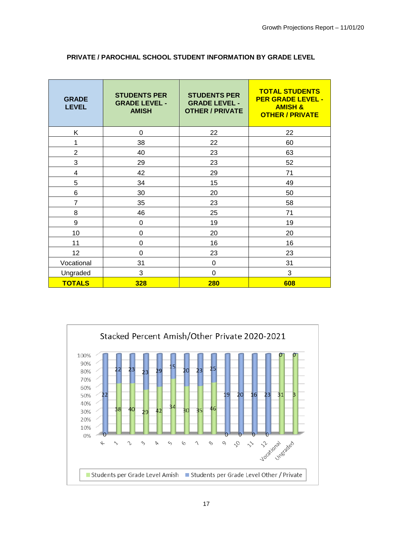| <b>GRADE</b><br><b>LEVEL</b> | <b>STUDENTS PER</b><br><b>GRADE LEVEL -</b><br><b>AMISH</b> | <b>STUDENTS PER</b><br><b>GRADE LEVEL -</b><br><b>OTHER / PRIVATE</b> | <b>TOTAL STUDENTS</b><br><b>PER GRADE LEVEL -</b><br><b>AMISH &amp;</b><br><b>OTHER / PRIVATE</b> |
|------------------------------|-------------------------------------------------------------|-----------------------------------------------------------------------|---------------------------------------------------------------------------------------------------|
| K.                           | $\Omega$                                                    | 22                                                                    | 22                                                                                                |
| 1                            | 38                                                          | 22                                                                    | 60                                                                                                |
| $\overline{2}$               | 40                                                          | 23                                                                    | 63                                                                                                |
| 3                            | 29                                                          | 23                                                                    | 52                                                                                                |
| 4                            | 42                                                          | 29                                                                    | 71                                                                                                |
| 5                            | 34                                                          | 15                                                                    | 49                                                                                                |
| 6                            | 30                                                          | 20                                                                    | 50                                                                                                |
| $\overline{7}$               | 35                                                          | 23                                                                    | 58                                                                                                |
| 8                            | 46                                                          | 25                                                                    | 71                                                                                                |
| 9                            | 0                                                           | 19                                                                    | 19                                                                                                |
| 10                           | 0                                                           | 20                                                                    | 20                                                                                                |
| 11                           | 0                                                           | 16                                                                    | 16                                                                                                |
| 12                           | 0                                                           | 23                                                                    | 23                                                                                                |
| Vocational                   | 31                                                          | 0                                                                     | 31                                                                                                |
| Ungraded                     | 3                                                           | $\Omega$                                                              | 3                                                                                                 |
| <b>TOTALS</b>                | 328                                                         | 280                                                                   | 608                                                                                               |

# **PRIVATE / PAROCHIAL SCHOOL STUDENT INFORMATION BY GRADE LEVEL**

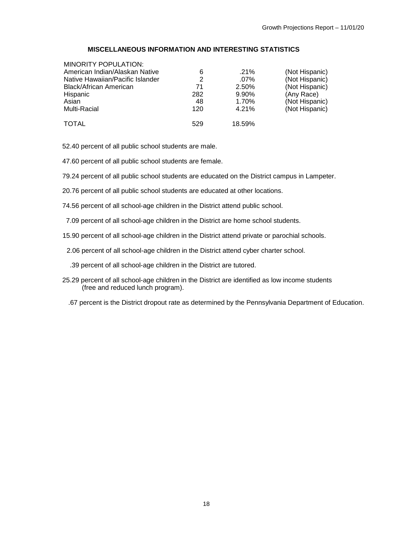# **MISCELLANEOUS INFORMATION AND INTERESTING STATISTICS**

| MINORITY POPULATION:             |     |         |                |
|----------------------------------|-----|---------|----------------|
| American Indian/Alaskan Native   | 6   | $.21\%$ | (Not Hispanic) |
| Native Hawaiian/Pacific Islander | 2   | $.07\%$ | (Not Hispanic) |
| Black/African American           | 71  | 2.50%   | (Not Hispanic) |
| Hispanic                         | 282 | 9.90%   | (Any Race)     |
| Asian                            | 48  | 1.70%   | (Not Hispanic) |
| Multi-Racial                     | 120 | 4.21%   | (Not Hispanic) |
|                                  |     |         |                |
| <b>TOTAL</b>                     | 529 | 18.59%  |                |

52.40 percent of all public school students are male.

- 47.60 percent of all public school students are female.
- 79.24 percent of all public school students are educated on the District campus in Lampeter.
- 20.76 percent of all public school students are educated at other locations.
- 74.56 percent of all school-age children in the District attend public school.
- 7.09 percent of all school-age children in the District are home school students.
- 15.90 percent of all school-age children in the District attend private or parochial schools.
- 2.06 percent of all school-age children in the District attend cyber charter school.
	- .39 percent of all school-age children in the District are tutored.
- 25.29 percent of all school-age children in the District are identified as low income students (free and reduced lunch program).
	- .67 percent is the District dropout rate as determined by the Pennsylvania Department of Education.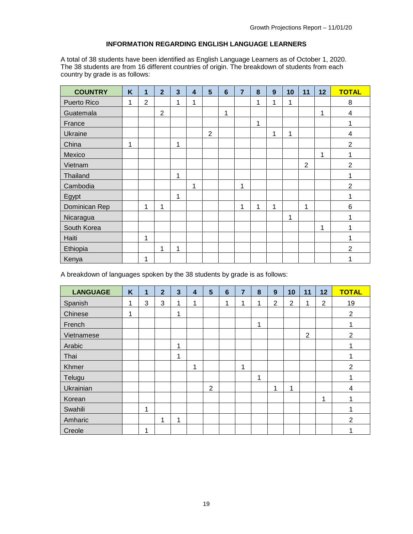# **INFORMATION REGARDING ENGLISH LANGUAGE LEARNERS**

A total of 38 students have been identified as English Language Learners as of October 1, 2020. The 38 students are from 16 different countries of origin. The breakdown of students from each country by grade is as follows:

| <b>COUNTRY</b> | K | 1              | $\overline{2}$ | $\overline{\mathbf{3}}$ | 4 | 5              | $6\phantom{1}$ | $\overline{7}$ | 8 | 9 | 10 | 11             | 12           | <b>TOTAL</b>            |
|----------------|---|----------------|----------------|-------------------------|---|----------------|----------------|----------------|---|---|----|----------------|--------------|-------------------------|
| Puerto Rico    | 1 | $\overline{2}$ |                | 1                       | 1 |                |                |                | 1 | 1 | 1  |                |              | 8                       |
| Guatemala      |   |                | $\overline{2}$ |                         |   |                | 1              |                |   |   |    |                | $\mathbf{1}$ | 4                       |
| France         |   |                |                |                         |   |                |                |                | 1 |   |    |                |              |                         |
| <b>Ukraine</b> |   |                |                |                         |   | $\overline{2}$ |                |                |   | 1 | 1  |                |              | $\overline{\mathbf{4}}$ |
| China          | 1 |                |                | 1                       |   |                |                |                |   |   |    |                |              | $\overline{2}$          |
| Mexico         |   |                |                |                         |   |                |                |                |   |   |    |                | 1            |                         |
| Vietnam        |   |                |                |                         |   |                |                |                |   |   |    | $\overline{2}$ |              | $\overline{2}$          |
| Thailand       |   |                |                | 1                       |   |                |                |                |   |   |    |                |              |                         |
| Cambodia       |   |                |                |                         | 1 |                |                | 1              |   |   |    |                |              | $\overline{2}$          |
| Egypt          |   |                |                | 1                       |   |                |                |                |   |   |    |                |              |                         |
| Dominican Rep  |   | 1              | 1              |                         |   |                |                | 1              | 1 | 1 |    | 1              |              | $6\phantom{1}$          |
| Nicaragua      |   |                |                |                         |   |                |                |                |   |   | 1  |                |              |                         |
| South Korea    |   |                |                |                         |   |                |                |                |   |   |    |                | 1            |                         |
| Haiti          |   | 1              |                |                         |   |                |                |                |   |   |    |                |              |                         |
| Ethiopia       |   |                | 1              | 1                       |   |                |                |                |   |   |    |                |              | $\overline{2}$          |
| Kenya          |   | 1              |                |                         |   |                |                |                |   |   |    |                |              |                         |

A breakdown of languages spoken by the 38 students by grade is as follows:

| <b>LANGUAGE</b> | K | 1 | $\overline{2}$ | $\overline{\mathbf{3}}$ | $\overline{\mathbf{4}}$ | 5              | $6\phantom{1}6$ | 7 | 8 | 9 | 10 | 11             | 12 | <b>TOTAL</b>   |
|-----------------|---|---|----------------|-------------------------|-------------------------|----------------|-----------------|---|---|---|----|----------------|----|----------------|
| Spanish         | 1 | 3 | 3              | 1                       | 1                       |                | 1               | 1 | 1 | 2 | 2  | 1              | 2  | 19             |
| Chinese         | 1 |   |                | 1                       |                         |                |                 |   |   |   |    |                |    | $\overline{2}$ |
| French          |   |   |                |                         |                         |                |                 |   | 1 |   |    |                |    |                |
| Vietnamese      |   |   |                |                         |                         |                |                 |   |   |   |    | $\overline{2}$ |    | $\overline{2}$ |
| Arabic          |   |   |                | 1                       |                         |                |                 |   |   |   |    |                |    |                |
| Thai            |   |   |                | 1                       |                         |                |                 |   |   |   |    |                |    |                |
| Khmer           |   |   |                |                         | 1                       |                |                 | 1 |   |   |    |                |    | $\overline{2}$ |
| Telugu          |   |   |                |                         |                         |                |                 |   | 1 |   |    |                |    |                |
| Ukrainian       |   |   |                |                         |                         | $\overline{2}$ |                 |   |   | и | 1  |                |    | 4              |
| Korean          |   |   |                |                         |                         |                |                 |   |   |   |    |                | и  |                |
| Swahili         |   | 1 |                |                         |                         |                |                 |   |   |   |    |                |    |                |
| Amharic         |   |   | 1              | 1                       |                         |                |                 |   |   |   |    |                |    | 2              |
| Creole          |   | 1 |                |                         |                         |                |                 |   |   |   |    |                |    |                |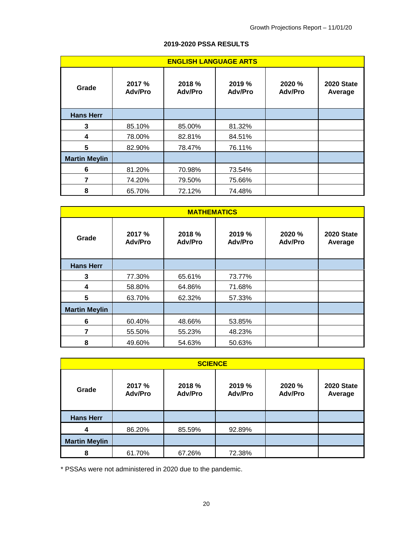|                      | <b>ENGLISH LANGUAGE ARTS</b> |                          |                          |                          |                              |  |  |  |  |  |  |
|----------------------|------------------------------|--------------------------|--------------------------|--------------------------|------------------------------|--|--|--|--|--|--|
| Grade                | 2017 %<br><b>Adv/Pro</b>     | 2018 %<br><b>Adv/Pro</b> | 2019 %<br><b>Adv/Pro</b> | 2020 %<br><b>Adv/Pro</b> | <b>2020 State</b><br>Average |  |  |  |  |  |  |
| <b>Hans Herr</b>     |                              |                          |                          |                          |                              |  |  |  |  |  |  |
| 3                    | 85.10%                       | 85.00%                   | 81.32%                   |                          |                              |  |  |  |  |  |  |
| 4                    | 78.00%                       | 82.81%                   | 84.51%                   |                          |                              |  |  |  |  |  |  |
| 5                    | 82.90%                       | 78.47%                   | 76.11%                   |                          |                              |  |  |  |  |  |  |
| <b>Martin Meylin</b> |                              |                          |                          |                          |                              |  |  |  |  |  |  |
| 6                    | 81.20%                       | 70.98%                   | 73.54%                   |                          |                              |  |  |  |  |  |  |
| 7                    | 74.20%                       | 79.50%                   | 75.66%                   |                          |                              |  |  |  |  |  |  |
| 8                    | 65.70%                       | 72.12%                   | 74.48%                   |                          |                              |  |  |  |  |  |  |

# **2019-2020 PSSA RESULTS**

|                      | <b>MATHEMATICS</b>       |                          |                          |                          |                              |  |  |  |  |  |  |
|----------------------|--------------------------|--------------------------|--------------------------|--------------------------|------------------------------|--|--|--|--|--|--|
| Grade                | 2017 %<br><b>Adv/Pro</b> | 2018 %<br><b>Adv/Pro</b> | 2019 %<br><b>Adv/Pro</b> | 2020 %<br><b>Adv/Pro</b> | <b>2020 State</b><br>Average |  |  |  |  |  |  |
| <b>Hans Herr</b>     |                          |                          |                          |                          |                              |  |  |  |  |  |  |
| 3                    | 77.30%                   | 65.61%                   | 73.77%                   |                          |                              |  |  |  |  |  |  |
| 4                    | 58.80%                   | 64.86%                   | 71.68%                   |                          |                              |  |  |  |  |  |  |
| 5                    | 63.70%                   | 62.32%                   | 57.33%                   |                          |                              |  |  |  |  |  |  |
| <b>Martin Meylin</b> |                          |                          |                          |                          |                              |  |  |  |  |  |  |
| 6                    | 60.40%                   | 48.66%                   | 53.85%                   |                          |                              |  |  |  |  |  |  |
| 7                    | 55.50%                   | 55.23%                   | 48.23%                   |                          |                              |  |  |  |  |  |  |
| 8                    | 49.60%                   | 54.63%                   | 50.63%                   |                          |                              |  |  |  |  |  |  |

| <b>SCIENCE</b>       |                          |                          |                          |                          |                              |  |  |  |  |  |
|----------------------|--------------------------|--------------------------|--------------------------|--------------------------|------------------------------|--|--|--|--|--|
| Grade                | 2017 %<br><b>Adv/Pro</b> | 2018 %<br><b>Adv/Pro</b> | 2019 %<br><b>Adv/Pro</b> | 2020 %<br><b>Adv/Pro</b> | <b>2020 State</b><br>Average |  |  |  |  |  |
| <b>Hans Herr</b>     |                          |                          |                          |                          |                              |  |  |  |  |  |
| 4                    | 86.20%                   | 85.59%                   | 92.89%                   |                          |                              |  |  |  |  |  |
| <b>Martin Meylin</b> |                          |                          |                          |                          |                              |  |  |  |  |  |
| 8                    | 61.70%                   | 67.26%                   | 72.38%                   |                          |                              |  |  |  |  |  |

\* PSSAs were not administered in 2020 due to the pandemic.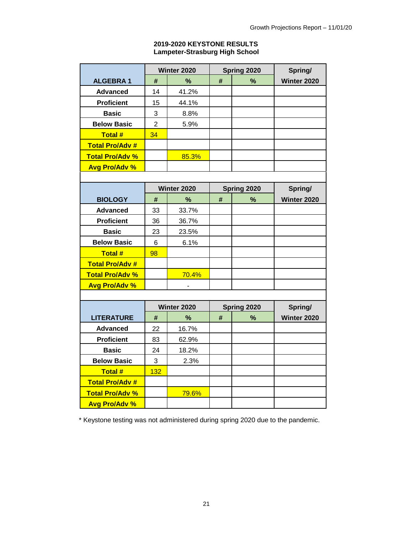### **2019-2020 KEYSTONE RESULTS Lampeter-Strasburg High School**

|                        |                | Winter 2020 |             | Spring 2020 | Spring/     |  |
|------------------------|----------------|-------------|-------------|-------------|-------------|--|
| <b>ALGEBRA1</b>        | #              | $\%$        | #           | $\%$        | Winter 2020 |  |
| <b>Advanced</b>        | 14             | 41.2%       |             |             |             |  |
| <b>Proficient</b>      | 15             | 44.1%       |             |             |             |  |
| <b>Basic</b>           | 3              | 8.8%        |             |             |             |  |
| <b>Below Basic</b>     | $\overline{2}$ | 5.9%        |             |             |             |  |
| <b>Total#</b>          | 34             |             |             |             |             |  |
| <b>Total Pro/Adv #</b> |                |             |             |             |             |  |
| <b>Total Pro/Adv %</b> |                | 85.3%       |             |             |             |  |
| <b>Avg Pro/Adv %</b>   |                |             |             |             |             |  |
|                        |                |             |             |             |             |  |
|                        |                | Winter 2020 | Spring 2020 |             | Spring/     |  |
| <b>BIOLOGY</b>         | #              | %           | #           | %           | Winter 2020 |  |
| <b>Advanced</b>        | 33             | 33.7%       |             |             |             |  |
| <b>Proficient</b>      | 36             | 36.7%       |             |             |             |  |
| <b>Basic</b>           | 23             | 23.5%       |             |             |             |  |
| <b>Below Basic</b>     | 6              | 6.1%        |             |             |             |  |
| <b>Total#</b>          | 98             |             |             |             |             |  |
| <b>Total Pro/Adv #</b> |                |             |             |             |             |  |
| <b>Total Pro/Adv %</b> |                | 70.4%       |             |             |             |  |
| <b>Avg Pro/Adv %</b>   |                |             |             |             |             |  |
|                        |                |             |             |             |             |  |
|                        |                | Winter 2020 |             | Spring 2020 | Spring/     |  |
| <b>LITERATURE</b>      | #              | %           | $\#$        | $\%$        | Winter 2020 |  |
| <b>Advanced</b>        | 22             | 16.7%       |             |             |             |  |
| <b>Proficient</b>      | 83             | 62.9%       |             |             |             |  |
| <b>Basic</b>           | 24             | 18.2%       |             |             |             |  |
| <b>Below Basic</b>     | 3              | 2.3%        |             |             |             |  |
| Total #                | 132            |             |             |             |             |  |
| <b>Total Pro/Adv #</b> |                |             |             |             |             |  |
| <b>Total Pro/Adv %</b> |                | 79.6%       |             |             |             |  |
| <b>Avg Pro/Adv %</b>   |                |             |             |             |             |  |

\* Keystone testing was not administered during spring 2020 due to the pandemic.